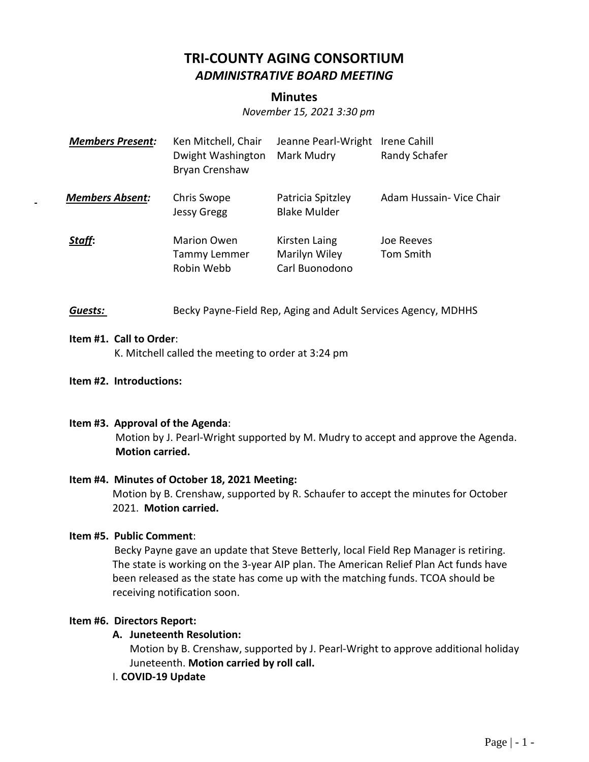# **TRI-COUNTY AGING CONSORTIUM** *ADMINISTRATIVE BOARD MEETING*

## **Minutes**

*November 15, 2021 3:30 pm*

| <b>Members Present:</b> | Ken Mitchell, Chair<br>Dwight Washington<br>Bryan Crenshaw | Jeanne Pearl-Wright<br>Mark Mudry                | Irene Cahill<br>Randy Schafer |
|-------------------------|------------------------------------------------------------|--------------------------------------------------|-------------------------------|
| <b>Members Absent:</b>  | Chris Swope<br><b>Jessy Gregg</b>                          | Patricia Spitzley<br><b>Blake Mulder</b>         | Adam Hussain- Vice Chair      |
| Staff:                  | <b>Marion Owen</b><br>Tammy Lemmer<br>Robin Webb           | Kirsten Laing<br>Marilyn Wiley<br>Carl Buonodono | Joe Reeves<br>Tom Smith       |

**Guests: Becky Payne-Field Rep, Aging and Adult Services Agency, MDHHS** 

#### **Item #1. Call to Order**:

K. Mitchell called the meeting to order at 3:24 pm

**Item #2. Introductions:**

#### **Item #3. Approval of the Agenda**:

Motion by J. Pearl-Wright supported by M. Mudry to accept and approve the Agenda. **Motion carried.**

#### **Item #4. Minutes of October 18, 2021 Meeting:**

Motion by B. Crenshaw, supported by R. Schaufer to accept the minutes for October 2021. **Motion carried.**

#### **Item #5. Public Comment**:

 Becky Payne gave an update that Steve Betterly, local Field Rep Manager is retiring. The state is working on the 3-year AIP plan. The American Relief Plan Act funds have been released as the state has come up with the matching funds. TCOA should be receiving notification soon.

#### **Item #6. Directors Report:**

### **A. Juneteenth Resolution:**

Motion by B. Crenshaw, supported by J. Pearl-Wright to approve additional holiday Juneteenth. **Motion carried by roll call.**

#### I. **COVID-19 Update**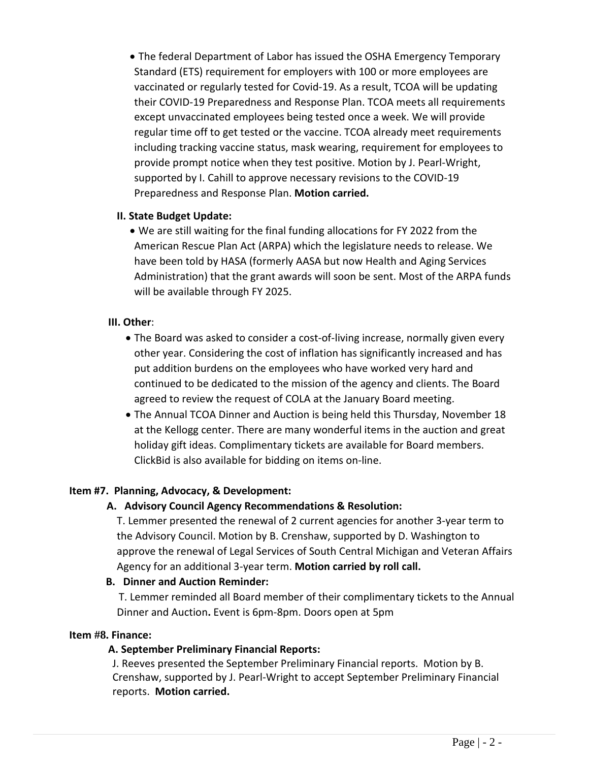• The federal Department of Labor has issued the OSHA Emergency Temporary Standard (ETS) requirement for employers with 100 or more employees are vaccinated or regularly tested for Covid-19. As a result, TCOA will be updating their COVID-19 Preparedness and Response Plan. TCOA meets all requirements except unvaccinated employees being tested once a week. We will provide regular time off to get tested or the vaccine. TCOA already meet requirements including tracking vaccine status, mask wearing, requirement for employees to provide prompt notice when they test positive. Motion by J. Pearl-Wright, supported by I. Cahill to approve necessary revisions to the COVID-19 Preparedness and Response Plan. **Motion carried.**

### **II. State Budget Update:**

• We are still waiting for the final funding allocations for FY 2022 from the American Rescue Plan Act (ARPA) which the legislature needs to release. We have been told by HASA (formerly AASA but now Health and Aging Services Administration) that the grant awards will soon be sent. Most of the ARPA funds will be available through FY 2025.

## **III. Other**:

- The Board was asked to consider a cost-of-living increase, normally given every other year. Considering the cost of inflation has significantly increased and has put addition burdens on the employees who have worked very hard and continued to be dedicated to the mission of the agency and clients. The Board agreed to review the request of COLA at the January Board meeting.
- The Annual TCOA Dinner and Auction is being held this Thursday, November 18 at the Kellogg center. There are many wonderful items in the auction and great holiday gift ideas. Complimentary tickets are available for Board members. ClickBid is also available for bidding on items on-line.

## **Item #7. Planning, Advocacy, & Development:**

## **A. Advisory Council Agency Recommendations & Resolution:**

T. Lemmer presented the renewal of 2 current agencies for another 3-year term to the Advisory Council. Motion by B. Crenshaw, supported by D. Washington to approve the renewal of Legal Services of South Central Michigan and Veteran Affairs Agency for an additional 3-year term. **Motion carried by roll call.**

#### **B. Dinner and Auction Reminder:**

T. Lemmer reminded all Board member of their complimentary tickets to the Annual Dinner and Auction**.** Event is 6pm-8pm. Doors open at 5pm

## **Item #8. Finance:**

#### **A. September Preliminary Financial Reports:**

J. Reeves presented the September Preliminary Financial reports. Motion by B. Crenshaw, supported by J. Pearl-Wright to accept September Preliminary Financial reports. **Motion carried.**